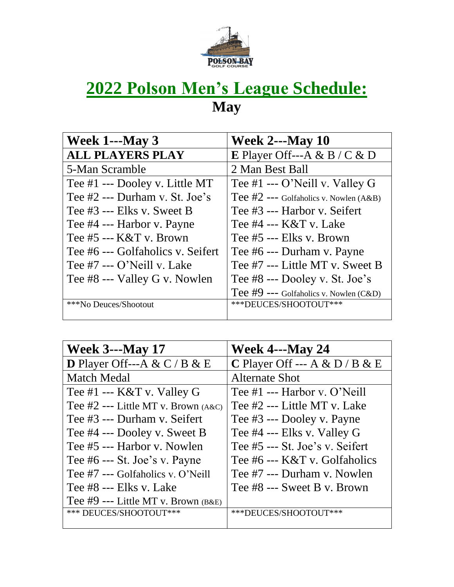

### **2022 Polson Men's League Schedule: May**

| <b>Week 1---May 3</b>             | <b>Week 2---May 10</b>                     |
|-----------------------------------|--------------------------------------------|
| <b>ALL PLAYERS PLAY</b>           | E Player Off---A & B / C & D               |
| 5-Man Scramble                    | 2 Man Best Ball                            |
| Tee #1 --- Dooley v. Little MT    | Tee #1 --- O'Neill v. Valley G             |
| Tee #2 --- Durham v. St. Joe's    | Tee $#2$ --- Golfaholics v. Nowlen $(A&B)$ |
| Tee #3 --- Elks v. Sweet B        | Tee #3 --- Harbor v. Seifert               |
| Tee #4 --- Harbor v. Payne        | Tee $#4$ --- $K&T$ v. Lake                 |
| Tee $#5$ --- $K&T$ v. Brown       | Tee #5 --- Elks v. Brown                   |
| Tee #6 --- Golfaholics v. Seifert | Tee #6 --- Durham v. Payne                 |
| Tee $#7$ --- O'Neill v. Lake      | Tee #7 --- Little MT v. Sweet B            |
| Tee #8 --- Valley G v. Nowlen     | Tee #8 --- Dooley v. St. Joe's             |
|                                   | Tee $#9$ --- Golfaholics v. Nowlen (C&D)   |
| ***No Deuces/Shootout             | ***DEUCES/SHOOTOUT***                      |
|                                   |                                            |

| <b>Week 4---May 24</b>          |
|---------------------------------|
| C Player Off --- A & D / B & E  |
| <b>Alternate Shot</b>           |
| Tee $#1$ --- Harbor v. O'Neill  |
| Tee #2 --- Little MT v. Lake    |
| Tee #3 --- Dooley v. Payne      |
| Tee #4 --- Elks v. Valley G     |
| Tee #5 --- St. Joe's v. Seifert |
| Tee #6 --- K&T v. Golfaholics   |
| Tee #7 --- Durham v. Nowlen     |
| Tee #8 --- Sweet B v. Brown     |
|                                 |
| ***DEUCES/SHOOTOUT***           |
|                                 |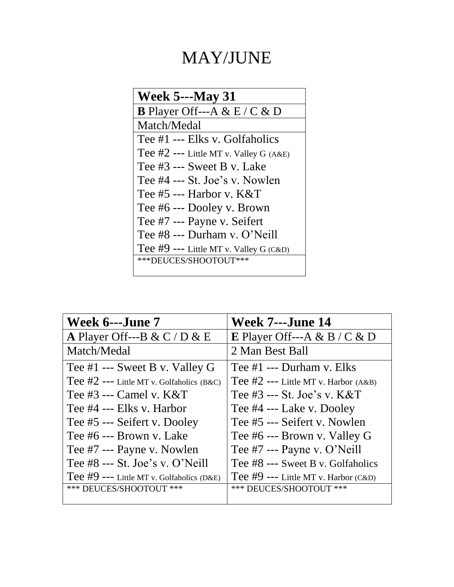## MAY/JUNE

| <b>Week 5---May 31</b>                   |  |
|------------------------------------------|--|
| <b>B</b> Player Off---A & E / C & D      |  |
| Match/Medal                              |  |
| Tee #1 --- Elks v. Golfaholics           |  |
| Tee $#2$ --- Little MT v. Valley G (A&E) |  |
| Tee #3 --- Sweet B v. Lake               |  |
| Tee #4 --- St. Joe's v. Nowlen           |  |
| Tee $#5$ --- Harbor v. $K&T$             |  |
| Tee #6 --- Dooley v. Brown               |  |
| Tee #7 --- Payne v. Seifert              |  |
| Tee #8 --- Durham v. O'Neill             |  |
| Tee #9 --- Little MT v. Valley G $(C&D)$ |  |
| ***DEUCES/SHOOTOUT***                    |  |
|                                          |  |

| Week 6---June 7                             | <b>Week 7---June 14</b>                  |
|---------------------------------------------|------------------------------------------|
| A Player Off---B & C / D & E                | <b>E</b> Player Off---A & B / C & D      |
| Match/Medal                                 | 2 Man Best Ball                          |
| Tee $#1$ --- Sweet B v. Valley G            | Tee $#1$ --- Durham v. Elks              |
| Tee $#2$ --- Little MT v. Golfaholics (B&C) | Tee $#2$ --- Little MT v. Harbor $(A&B)$ |
| Tee $\#3$ --- Camel v. K&T                  | Tee $\#3$ --- St. Joe's v. K&T           |
| Tee #4 --- Elks v. Harbor                   | Tee #4 --- Lake v. Dooley                |
| Tee #5 --- Seifert v. Dooley                | Tee #5 --- Seifert v. Nowlen             |
| Tee #6 --- Brown v. Lake                    | Tee #6 --- Brown v. Valley G             |
| Tee #7 --- Payne v. Nowlen                  | Tee #7 --- Payne v. O'Neill              |
| Tee #8 --- St. Joe's v. O'Neill             | Tee #8 --- Sweet B v. Golfaholics        |
| Tee $#9$ --- Little MT v. Golfaholics (D&E) | Tee $#9$ --- Little MT v. Harbor (C&D)   |
| *** DEUCES/SHOOTOUT ***                     | *** DEUCES/SHOOTOUT ***                  |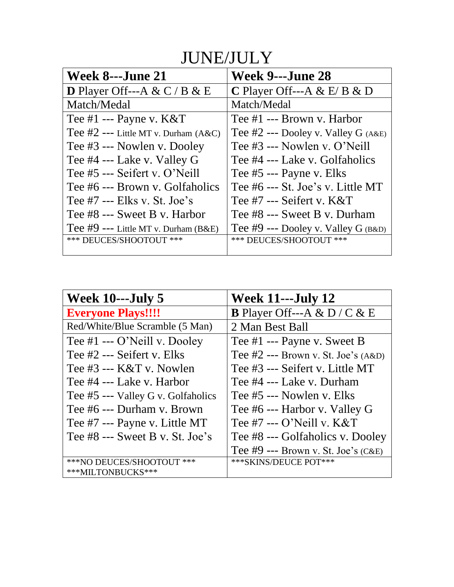#### JUNE/JULY

| <b>Week 8---June 21</b>                    | Week 9---June 28                      |
|--------------------------------------------|---------------------------------------|
| <b>D</b> Player Off---A & C / B & E        | <b>C</b> Player Off---A & E/B & D     |
| Match/Medal                                | Match/Medal                           |
| Tee $#1$ --- Payne v. $K&T$                | Tee $#1$ --- Brown v. Harbor          |
| Tee $#2$ --- Little MT v. Durham $(A & C)$ | Tee $#2$ --- Dooley v. Valley G (A&E) |
| Tee #3 --- Nowlen v. Dooley                | Tee #3 --- Nowlen v. O'Neill          |
| Tee #4 --- Lake v. Valley G                | Tee #4 --- Lake v. Golfaholics        |
| Tee #5 --- Seifert v. O'Neill              | Tee #5 --- Payne v. Elks              |
| Tee #6 --- Brown y. Golfaholics            | Tee #6 --- St. Joe's v. Little MT     |
| Tee $#7$ --- Elks v. St. Joe's             | Tee $#7$ --- Seifert v. K&T           |
| Tee #8 --- Sweet B v. Harbor               | Tee #8 --- Sweet B v. Durham          |
| Tee $#9$ --- Little MT v. Durham (B&E)     | Tee #9 --- Dooley v. Valley $G$ (B&D) |
| *** DEUCES/SHOOTOUT ***                    | *** DEUCES/SHOOTOUT ***               |
|                                            |                                       |

| Week $10$ ---July 5                | <b>Week 11---July 12</b>                |
|------------------------------------|-----------------------------------------|
| <b>Everyone Plays!!!!</b>          | <b>B</b> Player Off---A & D / C & E     |
| Red/White/Blue Scramble (5 Man)    | 2 Man Best Ball                         |
| Tee $#1 -- O'Neil v. Dooley$       | Tee $#1$ --- Payne v. Sweet B           |
| Tee #2 --- Seifert v. Elks         | Tee $#2$ --- Brown v. St. Joe's $(A&D)$ |
| Tee #3 --- K&T v. Nowlen           | Tee #3 --- Seifert v. Little MT         |
| Tee #4 --- Lake v. Harbor          | Tee #4 --- Lake v. Durham               |
| Tee #5 --- Valley G v. Golfaholics | Tee #5 --- Nowlen y. Elks               |
| Tee #6 --- Durham v. Brown         | Tee #6 --- Harbor v. Valley G           |
| Tee #7 --- Payne v. Little MT      | Tee $#7$ --- O'Neill v. K&T             |
| Tee $#8$ --- Sweet B v. St. Joe's  | Tee #8 --- Golfaholics v. Dooley        |
|                                    | Tee $#9$ --- Brown v. St. Joe's (C&E)   |
| ***NO DEUCES/SHOOTOUT ***          | *** SKINS/DEUCE POT***                  |
| ***MILTONBUCKS***                  |                                         |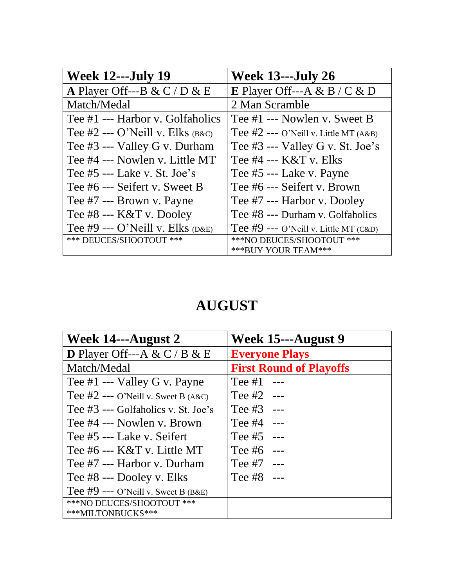| <b>Week 12---July 19</b>              | <b>Week 13---July 26</b>                |
|---------------------------------------|-----------------------------------------|
| A Player Off---B & C / D & E          | <b>E</b> Player Off---A & B / C & D     |
| Match/Medal                           | 2 Man Scramble                          |
| Tee #1 --- Harbor v. Golfaholics      | Tee #1 --- Nowlen v. Sweet B            |
| Tee #2 --- O'Neill v. Elks $_{(B&C)}$ | Tee $#2$ --- O'Neill v. Little MT (A&B) |
| Tee #3 --- Valley G v. Durham         | Tee $#3$ --- Valley G v. St. Joe's      |
| Tee #4 --- Nowlen v. Little MT        | Tee #4 --- K&T v. Elks                  |
| Tee $#5$ --- Lake v. St. Joe's        | Tee #5 --- Lake v. Payne                |
| Tee #6 --- Seifert v. Sweet B         | Tee #6 --- Seifert v. Brown             |
| Tee #7 --- Brown v. Payne             | Tee #7 --- Harbor v. Dooley             |
| Tee #8 --- K&T v. Dooley              | Tee #8 --- Durham v. Golfaholics        |
| Tee #9 --- O'Neill v. Elks $(DAE)$    | Tee #9 --- O'Neill v. Little MT (C&D)   |
| *** DEUCES/SHOOTOUT ***               | ***NO DEUCES/SHOOTOUT ***               |
|                                       | *** BUY YOUR TEAM***                    |

#### **AUGUST**

| Week 14---August 2                    | Week 15---August 9             |
|---------------------------------------|--------------------------------|
| <b>D</b> Player Off---A & C / B & E   | <b>Everyone Plays</b>          |
| Match/Medal                           | <b>First Round of Playoffs</b> |
| Tee $#1$ --- Valley G v. Payne        | Tee $#1$ ---                   |
| Tee $#2$ --- O'Neill v. Sweet B (A&C) | Tee $#2$ ---                   |
| Tee #3 --- Golfaholics v. St. Joe's   | Tee $#3$ ---                   |
| Tee #4 --- Nowlen y. Brown            | Tee $#4$ ---                   |
| Tee #5 --- Lake v. Seifert            | Tee $#5$ ---                   |
| Tee #6 --- $K&T$ v. Little MT         | Tee $#6$ ---                   |
| Tee #7 --- Harbor y. Durham           | Tee $#7$ ---                   |
| Tee #8 --- Dooley v. Elks             | Tee $#8$ ---                   |
| Tee $#9$ --- O'Neill v. Sweet B (B&E) |                                |
| ***NO DEUCES/SHOOTOUT ***             |                                |
| ***MILTONBUCKS***                     |                                |